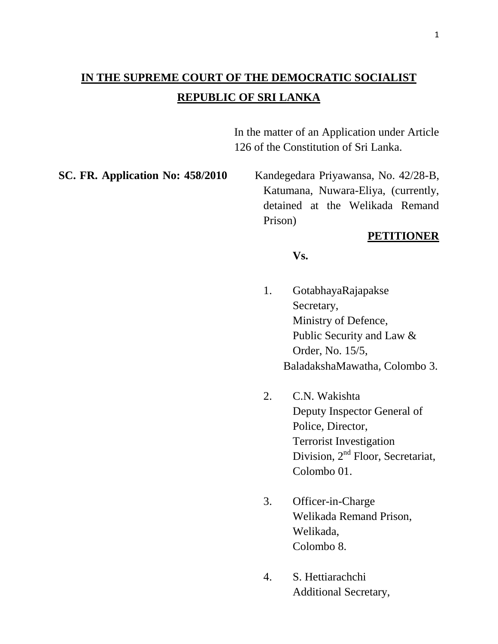# **IN THE SUPREME COURT OF THE DEMOCRATIC SOCIALIST REPUBLIC OF SRI LANKA**

In the matter of an Application under Article 126 of the Constitution of Sri Lanka.

**SC. FR. Application No: 458/2010** Kandegedara Priyawansa, No. 42/28-B, Katumana, Nuwara-Eliya, (currently, detained at the Welikada Remand Prison)

## **PETITIONER**

#### **Vs.**

- 1. GotabhayaRajapakse Secretary, Ministry of Defence, Public Security and Law & Order, No. 15/5, BaladakshaMawatha, Colombo 3.
- 2. C.N. Wakishta Deputy Inspector General of Police, Director, Terrorist Investigation Division, 2<sup>nd</sup> Floor, Secretariat, Colombo 01.
- 3. Officer-in-Charge Welikada Remand Prison, Welikada, Colombo 8.
- 4. S. Hettiarachchi Additional Secretary,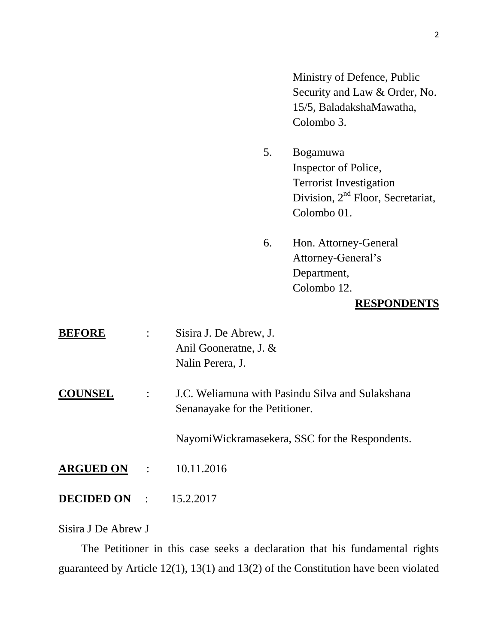Ministry of Defence, Public Security and Law & Order, No. 15/5, BaladakshaMawatha, Colombo 3.

- 5. Bogamuwa Inspector of Police, Terrorist Investigation Division, 2<sup>nd</sup> Floor, Secretariat, Colombo 01.
- 6. Hon. Attorney-General Attorney-General's Department, Colombo 12.

#### **RESPONDENTS**

| <b>BEFORE</b>                   |                | Sisira J. De Abrew, J.<br>Anil Gooneratne, J. $&$<br>Nalin Perera, J.              |
|---------------------------------|----------------|------------------------------------------------------------------------------------|
| <b>COUNSEL</b>                  | $\ddot{\cdot}$ | J.C. Weliamuna with Pasindu Silva and Sulakshana<br>Senanayake for the Petitioner. |
|                                 |                | NayomiWickramasekera, SSC for the Respondents.                                     |
| <b>ARGUED ON :</b>              |                | 10.11.2016                                                                         |
| <b>DECIDED ON</b> : $15.2.2017$ |                |                                                                                    |

### Sisira J De Abrew J

 The Petitioner in this case seeks a declaration that his fundamental rights guaranteed by Article 12(1), 13(1) and 13(2) of the Constitution have been violated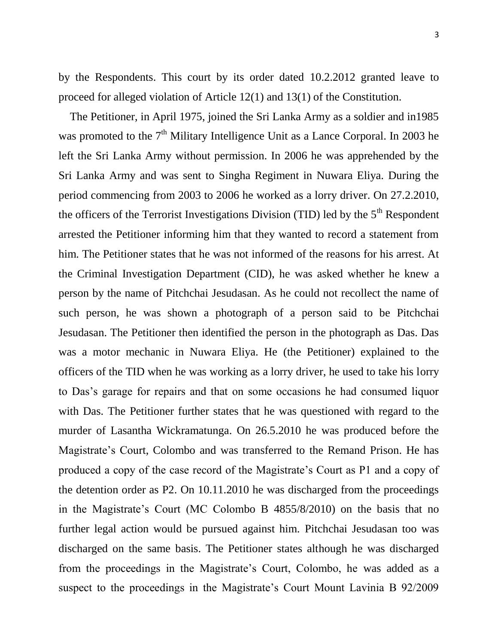by the Respondents. This court by its order dated 10.2.2012 granted leave to proceed for alleged violation of Article 12(1) and 13(1) of the Constitution.

 The Petitioner, in April 1975, joined the Sri Lanka Army as a soldier and in1985 was promoted to the 7<sup>th</sup> Military Intelligence Unit as a Lance Corporal. In 2003 he left the Sri Lanka Army without permission. In 2006 he was apprehended by the Sri Lanka Army and was sent to Singha Regiment in Nuwara Eliya. During the period commencing from 2003 to 2006 he worked as a lorry driver. On 27.2.2010, the officers of the Terrorist Investigations Division (TID) led by the  $5<sup>th</sup>$  Respondent arrested the Petitioner informing him that they wanted to record a statement from him. The Petitioner states that he was not informed of the reasons for his arrest. At the Criminal Investigation Department (CID), he was asked whether he knew a person by the name of Pitchchai Jesudasan. As he could not recollect the name of such person, he was shown a photograph of a person said to be Pitchchai Jesudasan. The Petitioner then identified the person in the photograph as Das. Das was a motor mechanic in Nuwara Eliya. He (the Petitioner) explained to the officers of the TID when he was working as a lorry driver, he used to take his lorry to Das's garage for repairs and that on some occasions he had consumed liquor with Das. The Petitioner further states that he was questioned with regard to the murder of Lasantha Wickramatunga. On 26.5.2010 he was produced before the Magistrate's Court, Colombo and was transferred to the Remand Prison. He has produced a copy of the case record of the Magistrate's Court as P1 and a copy of the detention order as P2. On 10.11.2010 he was discharged from the proceedings in the Magistrate's Court (MC Colombo B 4855/8/2010) on the basis that no further legal action would be pursued against him. Pitchchai Jesudasan too was discharged on the same basis. The Petitioner states although he was discharged from the proceedings in the Magistrate's Court, Colombo, he was added as a suspect to the proceedings in the Magistrate's Court Mount Lavinia B 92/2009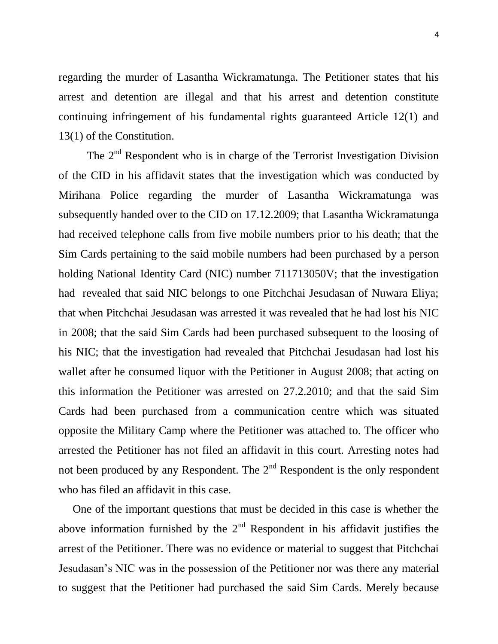regarding the murder of Lasantha Wickramatunga. The Petitioner states that his arrest and detention are illegal and that his arrest and detention constitute continuing infringement of his fundamental rights guaranteed Article 12(1) and 13(1) of the Constitution.

The  $2<sup>nd</sup>$  Respondent who is in charge of the Terrorist Investigation Division of the CID in his affidavit states that the investigation which was conducted by Mirihana Police regarding the murder of Lasantha Wickramatunga was subsequently handed over to the CID on 17.12.2009; that Lasantha Wickramatunga had received telephone calls from five mobile numbers prior to his death; that the Sim Cards pertaining to the said mobile numbers had been purchased by a person holding National Identity Card (NIC) number 711713050V; that the investigation had revealed that said NIC belongs to one Pitchchai Jesudasan of Nuwara Eliya; that when Pitchchai Jesudasan was arrested it was revealed that he had lost his NIC in 2008; that the said Sim Cards had been purchased subsequent to the loosing of his NIC; that the investigation had revealed that Pitchchai Jesudasan had lost his wallet after he consumed liquor with the Petitioner in August 2008; that acting on this information the Petitioner was arrested on 27.2.2010; and that the said Sim Cards had been purchased from a communication centre which was situated opposite the Military Camp where the Petitioner was attached to. The officer who arrested the Petitioner has not filed an affidavit in this court. Arresting notes had not been produced by any Respondent. The  $2<sup>nd</sup>$  Respondent is the only respondent who has filed an affidavit in this case.

 One of the important questions that must be decided in this case is whether the above information furnished by the  $2<sup>nd</sup>$  Respondent in his affidavit justifies the arrest of the Petitioner. There was no evidence or material to suggest that Pitchchai Jesudasan's NIC was in the possession of the Petitioner nor was there any material to suggest that the Petitioner had purchased the said Sim Cards. Merely because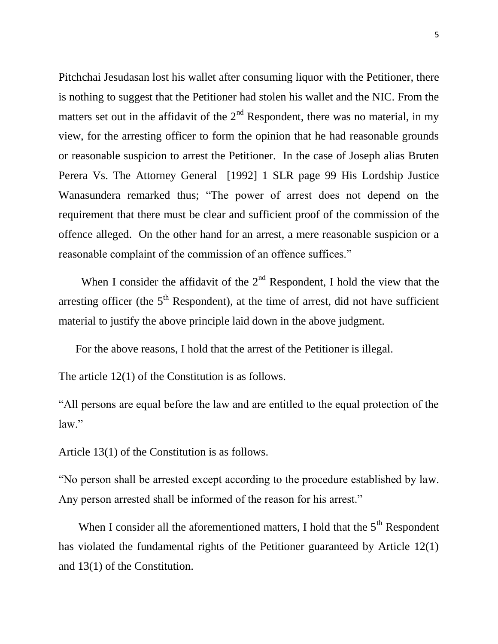Pitchchai Jesudasan lost his wallet after consuming liquor with the Petitioner, there is nothing to suggest that the Petitioner had stolen his wallet and the NIC. From the matters set out in the affidavit of the  $2<sup>nd</sup>$  Respondent, there was no material, in my view, for the arresting officer to form the opinion that he had reasonable grounds or reasonable suspicion to arrest the Petitioner. In the case of Joseph alias Bruten Perera Vs. The Attorney General [1992] 1 SLR page 99 His Lordship Justice Wanasundera remarked thus; "The power of arrest does not depend on the requirement that there must be clear and sufficient proof of the commission of the offence alleged. On the other hand for an arrest, a mere reasonable suspicion or a reasonable complaint of the commission of an offence suffices."

When I consider the affidavit of the  $2<sup>nd</sup>$  Respondent, I hold the view that the arresting officer (the  $5<sup>th</sup>$  Respondent), at the time of arrest, did not have sufficient material to justify the above principle laid down in the above judgment.

For the above reasons, I hold that the arrest of the Petitioner is illegal.

The article 12(1) of the Constitution is as follows.

"All persons are equal before the law and are entitled to the equal protection of the law."

Article 13(1) of the Constitution is as follows.

"No person shall be arrested except according to the procedure established by law. Any person arrested shall be informed of the reason for his arrest."

When I consider all the aforementioned matters, I hold that the  $5<sup>th</sup>$  Respondent has violated the fundamental rights of the Petitioner guaranteed by Article 12(1) and 13(1) of the Constitution.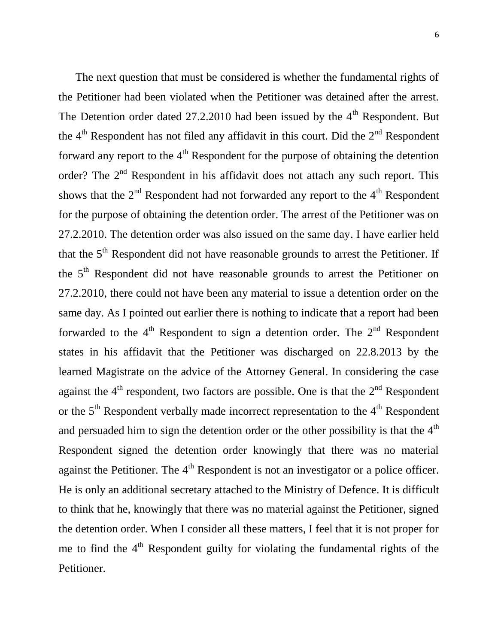The next question that must be considered is whether the fundamental rights of the Petitioner had been violated when the Petitioner was detained after the arrest. The Detention order dated  $27.2.2010$  had been issued by the  $4<sup>th</sup>$  Respondent. But the  $4<sup>th</sup>$  Respondent has not filed any affidavit in this court. Did the  $2<sup>nd</sup>$  Respondent forward any report to the  $4<sup>th</sup>$  Respondent for the purpose of obtaining the detention order? The  $2<sup>nd</sup>$  Respondent in his affidavit does not attach any such report. This shows that the  $2<sup>nd</sup>$  Respondent had not forwarded any report to the  $4<sup>th</sup>$  Respondent for the purpose of obtaining the detention order. The arrest of the Petitioner was on 27.2.2010. The detention order was also issued on the same day. I have earlier held that the  $5<sup>th</sup>$  Respondent did not have reasonable grounds to arrest the Petitioner. If the 5<sup>th</sup> Respondent did not have reasonable grounds to arrest the Petitioner on 27.2.2010, there could not have been any material to issue a detention order on the same day. As I pointed out earlier there is nothing to indicate that a report had been forwarded to the  $4<sup>th</sup>$  Respondent to sign a detention order. The  $2<sup>nd</sup>$  Respondent states in his affidavit that the Petitioner was discharged on 22.8.2013 by the learned Magistrate on the advice of the Attorney General. In considering the case against the  $4<sup>th</sup>$  respondent, two factors are possible. One is that the  $2<sup>nd</sup>$  Respondent or the  $5<sup>th</sup>$  Respondent verbally made incorrect representation to the  $4<sup>th</sup>$  Respondent and persuaded him to sign the detention order or the other possibility is that the  $4<sup>th</sup>$ Respondent signed the detention order knowingly that there was no material against the Petitioner. The  $4<sup>th</sup>$  Respondent is not an investigator or a police officer. He is only an additional secretary attached to the Ministry of Defence. It is difficult to think that he, knowingly that there was no material against the Petitioner, signed the detention order. When I consider all these matters, I feel that it is not proper for me to find the  $4<sup>th</sup>$  Respondent guilty for violating the fundamental rights of the Petitioner.